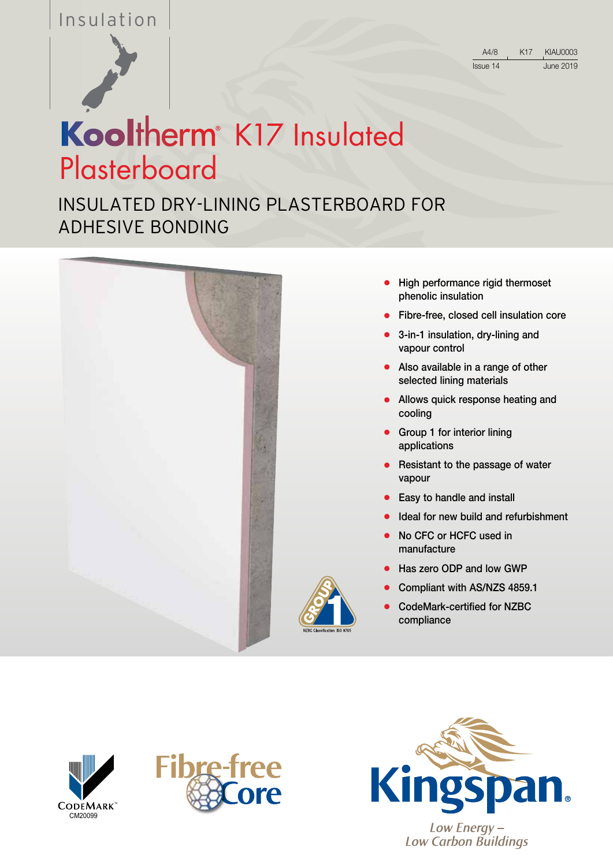## Insulation



| A4/8     | K17 | KIAU0003  |
|----------|-----|-----------|
| Issue 14 |     | June 2019 |

# Kooltherm<sup>®</sup> K17 Insulated **Plasterboard**

INSULATED DRY-LINING PLASTERBOARD FOR ADHESIVE BONDING



- High performance rigid thermoset phenolic insulation
- Fibre-free, closed cell insulation core
- 3-in-1 insulation, dry-lining and vapour control
- Also available in a range of other selected lining materials
- Allows quick response heating and cooling
- Group 1 for interior lining applications
- Resistant to the passage of water vapour
- Easy to handle and install
- Ideal for new build and refurbishment
- No CFC or HCFC used in manufacture
- Has zero ODP and low GWP
- Compliant with AS/NZS 4859.1
- CodeMark-certified for NZBC compliance







**Low Carbon Buildings**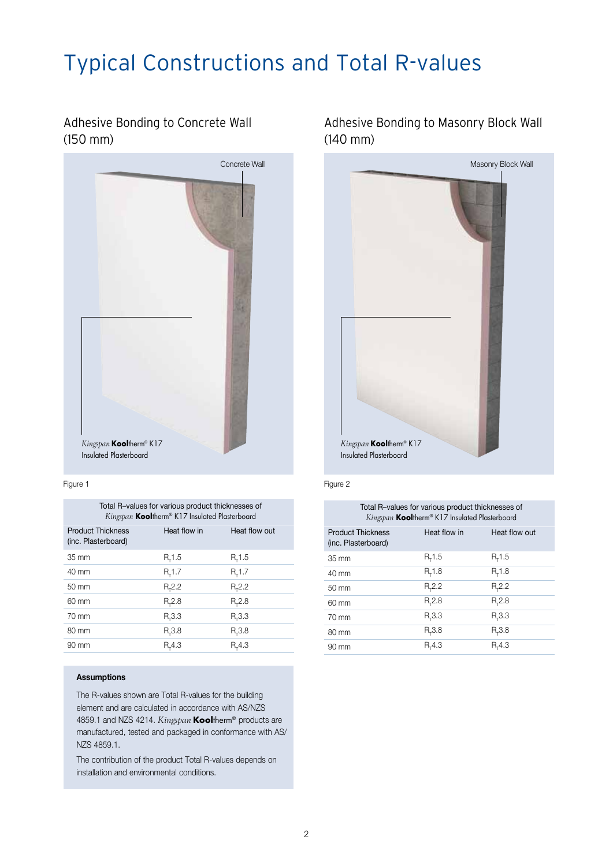## Typical Constructions and Total R-values

## Adhesive Bonding to Concrete Wall (150 mm)



#### Figure 1

| Total R-values for various product thicknesses of |
|---------------------------------------------------|
| Kingspan Kooltherm® K17 Insulated Plasterboard    |

| <b>Product Thickness</b><br>(inc. Plasterboard) | Heat flow in   | Heat flow out  |
|-------------------------------------------------|----------------|----------------|
| 35 mm                                           | R, 1.5         | R, 1.5         |
| $40 \text{ mm}$                                 | $R_{\tau}$ 1.7 | $R_{\tau}$ 1.7 |
| $50 \text{ mm}$                                 | $R_{2.2}$      | $R_{2.2}$      |
| $60 \text{ mm}$                                 | $R_{2.8}$      | $R_{2.8}$      |
| $70 \text{ mm}$                                 | $R_{\tau}3.3$  | $R_{\tau}3.3$  |
| 80 mm                                           | $R_{2}3.8$     | $R_{2}3.8$     |
| 90 mm                                           | $R - 4.3$      | $R_{r}4.3$     |
|                                                 |                |                |

#### Assumptions

The R-values shown are Total R-values for the building element and are calculated in accordance with AS/NZS 4859.1 and NZS 4214. *Kingspan* Kooltherm® products are manufactured, tested and packaged in conformance with AS/ NZS 4859.1.

The contribution of the product Total R-values depends on installation and environmental conditions.

### Adhesive Bonding to Masonry Block Wall (140 mm)



#### Figure 2

| Total R-values for various product thicknesses of<br>Kingspan Kooltherm® K17 Insulated Plasterboard |                |                |
|-----------------------------------------------------------------------------------------------------|----------------|----------------|
| <b>Product Thickness</b><br>(inc. Plasterboard)                                                     | Heat flow in   | Heat flow out  |
| $35 \text{ mm}$                                                                                     | $R_{\tau}$ 1.5 | $R_{\tau}$ 1.5 |
| 40 mm                                                                                               | $R_{r}$ 1.8    | $R_{\tau}$ 1.8 |
| $50 \text{ mm}$                                                                                     | $R_{2.2}$      | $R_{\tau}2.2$  |
| $60 \text{ mm}$                                                                                     | $R_{r}2.8$     | $R_{\tau}2.8$  |
| $70 \text{ mm}$                                                                                     | $R_{r}3.3$     | $R_{\tau}3.3$  |
| $80 \text{ mm}$                                                                                     | $R_{r}3.8$     | $R_{\tau}3.8$  |
| $90 \text{ mm}$                                                                                     | $R_{r}$ 4.3    | $R_{r}$ 4.3    |
|                                                                                                     |                |                |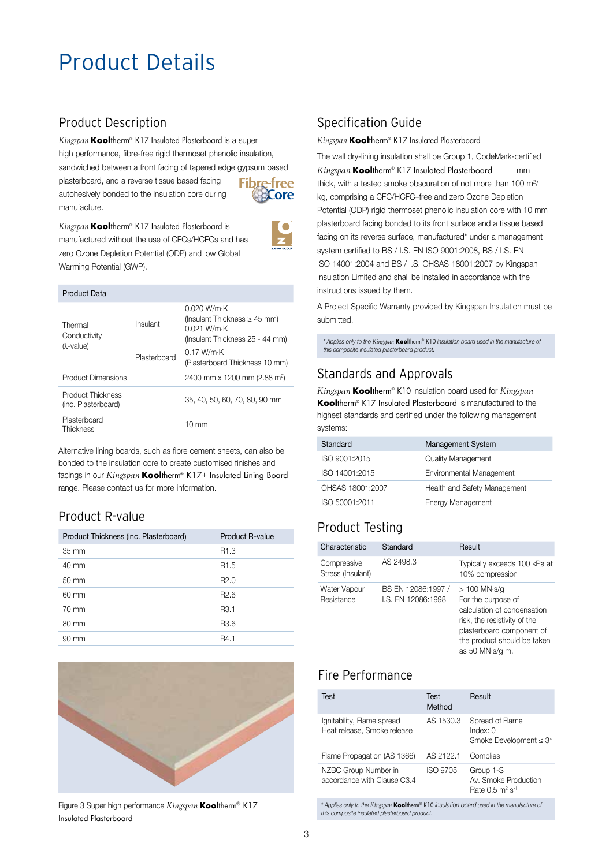## Product Details

## Product Description

*Kingspan* **Kooltherm® K17 Insulated Plasterboard is a super** high performance, fibre-free rigid thermoset phenolic insulation, sandwiched between a front facing of tapered edge gypsum based plasterboard, and a reverse tissue based facing **Fibre-free** autohesively bonded to the insulation core during **Core** manufacture.



*Kingspan* Kooltherm® K17 Insulated Plasterboard is manufactured without the use of CFCs/HCFCs and has zero Ozone Depletion Potential (ODP) and low Global Warming Potential (GWP).

#### Product Data

| Thermal<br>Conductivity<br>$(\lambda$ -value) | Insulant     | 0.020 W/m·K<br>(Insulant Thickness $\geq$ 45 mm)<br>$0.021$ W/m $\cdot$ K<br>(Insulant Thickness 25 - 44 mm) |
|-----------------------------------------------|--------------|--------------------------------------------------------------------------------------------------------------|
|                                               | Plasterboard | 0.17 W/mK<br>(Plasterboard Thickness 10 mm)                                                                  |
| <b>Product Dimensions</b>                     |              | 2400 mm x 1200 mm (2.88 m <sup>2</sup> )                                                                     |
| Product Thickness<br>(inc. Plasterboard)      |              | 35, 40, 50, 60, 70, 80, 90 mm                                                                                |
| Plasterboard<br>Thickness                     |              | $10 \text{ mm}$                                                                                              |

Alternative lining boards, such as fibre cement sheets, can also be bonded to the insulation core to create customised finishes and facings in our *Kingspan* Kooltherm® K17+ Insulated Lining Board range. Please contact us for more information.

## Product R-value

| Product Thickness (inc. Plasterboard) | <b>Product R-value</b> |
|---------------------------------------|------------------------|
| $35 \text{ mm}$                       | R <sub>1.3</sub>       |
| $40 \text{ mm}$                       | R <sub>1.5</sub>       |
| $50 \text{ mm}$                       | R2.0                   |
| 60 mm                                 | R <sub>2.6</sub>       |
| $70 \text{ mm}$                       | R <sub>3.1</sub>       |
| $80 \text{ mm}$                       | R <sub>3.6</sub>       |
| $90 \text{ mm}$                       | R4.1                   |



Figure 3 Super high performance *Kingspan* **Kooltherm® K17** Insulated Plasterboard

## Specification Guide

#### *Kingspan* Kooltherm® K17 Insulated Plasterboard

The wall dry-lining insulation shall be Group 1, CodeMark-certified *Kingspan* Kooltherm® K17 Insulated Plasterboard \_\_\_\_\_ mm thick, with a tested smoke obscuration of not more than 100  $m<sup>2</sup>/$ kg, comprising a CFC/HCFC–free and zero Ozone Depletion Potential (ODP) rigid thermoset phenolic insulation core with 10 mm plasterboard facing bonded to its front surface and a tissue based facing on its reverse surface, manufactured\* under a management system certified to BS / I.S. EN ISO 9001:2008, BS / I.S. EN ISO 14001:2004 and BS / I.S. OHSAS 18001:2007 by Kingspan Insulation Limited and shall be installed in accordance with the instructions issued by them.

A Project Specific Warranty provided by Kingspan Insulation must be submitted.

\* Applies only to the Kingspan **Kool**therm® K10 insulation board used in the manufacture of<br>this composite insulated plasterboard product.

#### Standards and Approvals

*Kingspan* Kooltherm® K10 insulation board used for *Kingspan*  Kooltherm® K17 Insulated Plasterboard is manufactured to the highest standards and certified under the following management systems:

| Standard         | <b>Management System</b>     |
|------------------|------------------------------|
| ISO 9001:2015    | <b>Quality Management</b>    |
| ISO 14001:2015   | Environmental Management     |
| OHSAS 18001:2007 | Health and Safety Management |
| ISO 50001:2011   | Energy Management            |

## Product Testing

| Characteristic                   | Standard                                | Result                                                                                                                                                                                    |
|----------------------------------|-----------------------------------------|-------------------------------------------------------------------------------------------------------------------------------------------------------------------------------------------|
| Compressive<br>Stress (Insulant) | AS 2498.3                               | Typically exceeds 100 kPa at<br>10% compression                                                                                                                                           |
| Water Vapour<br>Resistance       | BS EN 12086:1997 /<br>LS. EN 12086:1998 | $>100$ MN $\cdot$ s/g<br>For the purpose of<br>calculation of condensation<br>risk, the resistivity of the<br>plasterboard component of<br>the product should be taken<br>as 50 MN·s/q·m. |

## Fire Performance

| Test                                                      | Test<br>Method | Result                                                                     |
|-----------------------------------------------------------|----------------|----------------------------------------------------------------------------|
| Ignitability, Flame spread<br>Heat release, Smoke release | AS 1530.3      | Spread of Flame<br>$Index: \OmegaSmoke Development \leq 3^*$               |
| Flame Propagation (AS 1366)                               | AS 2122.1      | Complies                                                                   |
| NZBC Group Number in<br>accordance with Clause C3.4       | ISO 9705       | Group 1-S<br>Av. Smoke Production<br>Rate $0.5 \text{ m}^2 \text{ s}^{-1}$ |

\* Applies only to the *Kingspan* Kooltherm® K10 insulation board used in the manufacture of this composite insulated plasterboard product.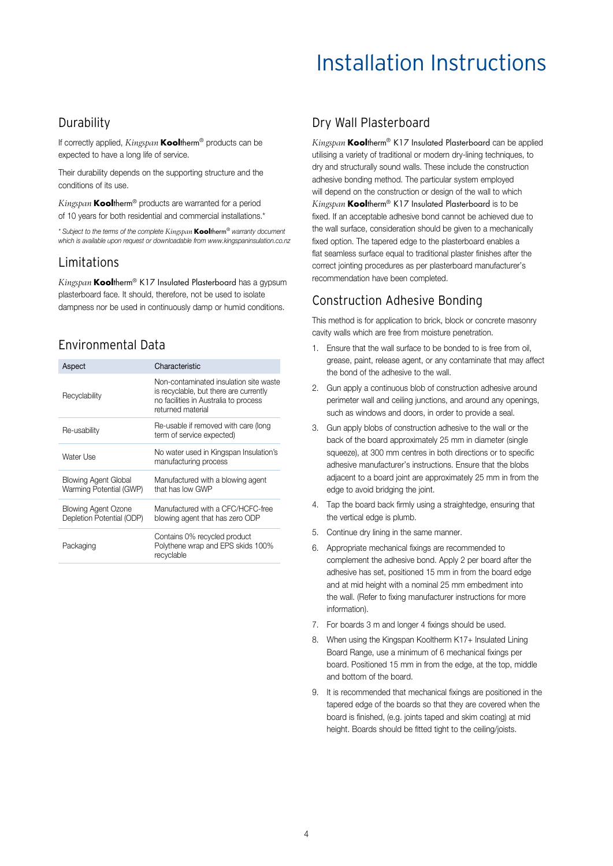## Installation Instructions

#### **Durability**

If correctly applied, *Kingspan* Kooltherm® products can be expected to have a long life of service.

Their durability depends on the supporting structure and the conditions of its use.

*Kingspan* Kooltherm® products are warranted for a period of 10 years for both residential and commercial installations.\*

\* Subject to the terms of the complete *Kingspan* Kooltherm® warranty document which is available upon request or downloadable from www.kingspaninsulation.co.nz

#### Limitations

*Kingspan* Kooltherm® K17 Insulated Plasterboard has a gypsum plasterboard face. It should, therefore, not be used to isolate dampness nor be used in continuously damp or humid conditions.

## Environmental Data

| Aspect                                                  | Characteristic                                                                                                                                 |
|---------------------------------------------------------|------------------------------------------------------------------------------------------------------------------------------------------------|
| Recyclability                                           | Non-contaminated insulation site waste<br>is recyclable, but there are currently<br>no facilities in Australia to process<br>returned material |
| Re-usability                                            | Re-usable if removed with care (long<br>term of service expected)                                                                              |
| Water Use                                               | No water used in Kingspan Insulation's<br>manufacturing process                                                                                |
| <b>Blowing Agent Global</b><br>Warming Potential (GWP)  | Manufactured with a blowing agent<br>that has low GWP                                                                                          |
| <b>Blowing Agent Ozone</b><br>Depletion Potential (ODP) | Manufactured with a CFC/HCFC-free<br>blowing agent that has zero ODP                                                                           |
| Packaging                                               | Contains 0% recycled product<br>Polythene wrap and EPS skids 100%<br>recyclable                                                                |

### Dry Wall Plasterboard

*Kingspan* Kooltherm® K17 Insulated Plasterboard can be applied utilising a variety of traditional or modern dry-lining techniques, to dry and structurally sound walls. These include the construction adhesive bonding method. The particular system employed will depend on the construction or design of the wall to which *Kingspan* Kooltherm® K17 Insulated Plasterboard is to be fixed. If an acceptable adhesive bond cannot be achieved due to the wall surface, consideration should be given to a mechanically fixed option. The tapered edge to the plasterboard enables a flat seamless surface equal to traditional plaster finishes after the correct jointing procedures as per plasterboard manufacturer's recommendation have been completed.

## Construction Adhesive Bonding

This method is for application to brick, block or concrete masonry cavity walls which are free from moisture penetration.

- 1. Ensure that the wall surface to be bonded to is free from oil, grease, paint, release agent, or any contaminate that may affect the bond of the adhesive to the wall.
- 2. Gun apply a continuous blob of construction adhesive around perimeter wall and ceiling junctions, and around any openings, such as windows and doors, in order to provide a seal.
- 3. Gun apply blobs of construction adhesive to the wall or the back of the board approximately 25 mm in diameter (single squeeze), at 300 mm centres in both directions or to specific adhesive manufacturer's instructions. Ensure that the blobs adjacent to a board joint are approximately 25 mm in from the edge to avoid bridging the joint.
- 4. Tap the board back firmly using a straightedge, ensuring that the vertical edge is plumb.
- 5. Continue dry lining in the same manner.
- 6. Appropriate mechanical fixings are recommended to complement the adhesive bond. Apply 2 per board after the adhesive has set, positioned 15 mm in from the board edge and at mid height with a nominal 25 mm embedment into the wall. (Refer to fixing manufacturer instructions for more information).
- 7. For boards 3 m and longer 4 fixings should be used.
- 8. When using the Kingspan Kooltherm K17+ Insulated Lining Board Range, use a minimum of 6 mechanical fixings per board. Positioned 15 mm in from the edge, at the top, middle and bottom of the board.
- 9. It is recommended that mechanical fixings are positioned in the tapered edge of the boards so that they are covered when the board is finished, (e.g. joints taped and skim coating) at mid height. Boards should be fitted tight to the ceiling/joists.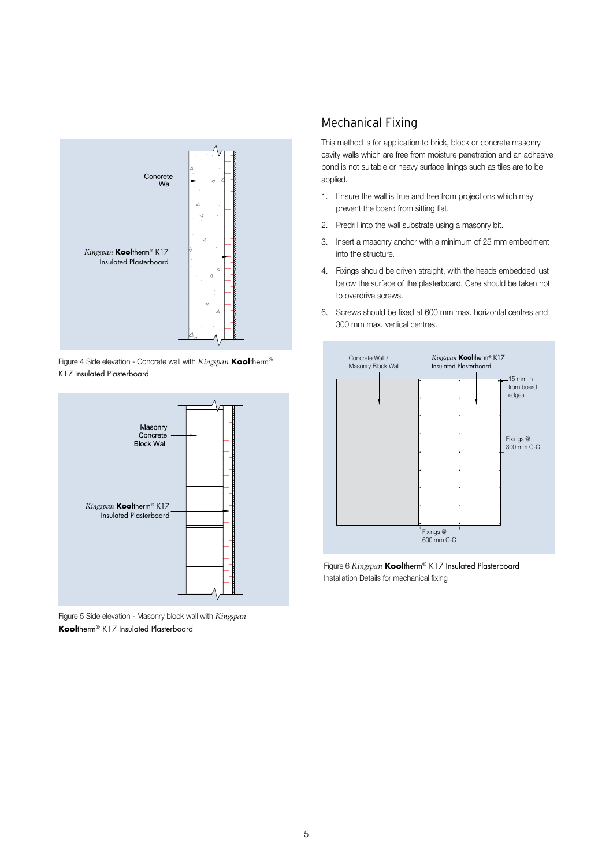

Figure 4 Side elevation - Concrete wall with *Kingspan* Kooltherm® K17 Insulated Plasterboard



Figure 5 Side elevation - Masonry block wall with *Kingspan* Kooltherm® K17 Insulated Plasterboard

## Mechanical Fixing

This method is for application to brick, block or concrete masonry cavity walls which are free from moisture penetration and an adhesive bond is not suitable or heavy surface linings such as tiles are to be applied.

- 1. Ensure the wall is true and free from projections which may prevent the board from sitting flat.
- 2. Predrill into the wall substrate using a masonry bit.
- 3. Insert a masonry anchor with a minimum of 25 mm embedment into the structure.
- 4. Fixings should be driven straight, with the heads embedded just below the surface of the plasterboard. Care should be taken not to overdrive screws.
- 6. Screws should be fixed at 600 mm max. horizontal centres and 300 mm max. vertical centres.



Figure 6 *Kingspan* Kooltherm® K17 Insulated Plasterboard Installation Details for mechanical fixing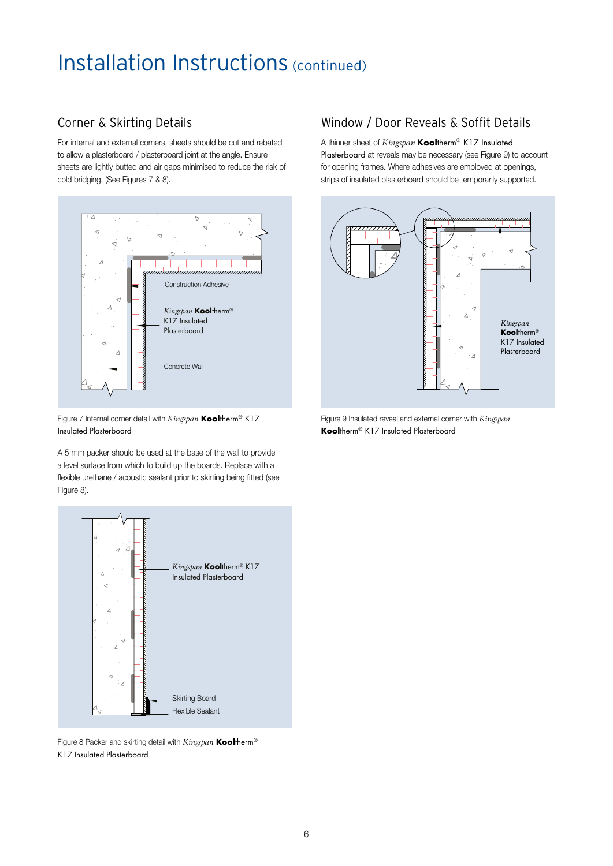## Installation Instructions (continued)

## Corner & Skirting Details

For internal and external corners, sheets should be cut and rebated to allow a plasterboard / plasterboard joint at the angle. Ensure sheets are lightly butted and air gaps minimised to reduce the risk of cold bridging. (See Figures 7 & 8).



Figure 7 Internal corner detail with *Kingspan* Kooltherm® K17 Insulated Plasterboard

A 5 mm packer should be used at the base of the wall to provide a level surface from which to build up the boards. Replace with a flexible urethane / acoustic sealant prior to skirting being fitted (see Figure 8).



Figure 8 Packer and skirting detail with *Kingspan* **Kooltherm®** K17 Insulated Plasterboard

### Window / Door Reveals & Soffit Details

A thinner sheet of *Kingspan* Kooltherm® K17 Insulated Plasterboard at reveals may be necessary (see Figure 9) to account for opening frames. Where adhesives are employed at openings, strips of insulated plasterboard should be temporarily supported.



Figure 9 Insulated reveal and external corner with *Kingspan* Kooltherm® K17 Insulated Plasterboard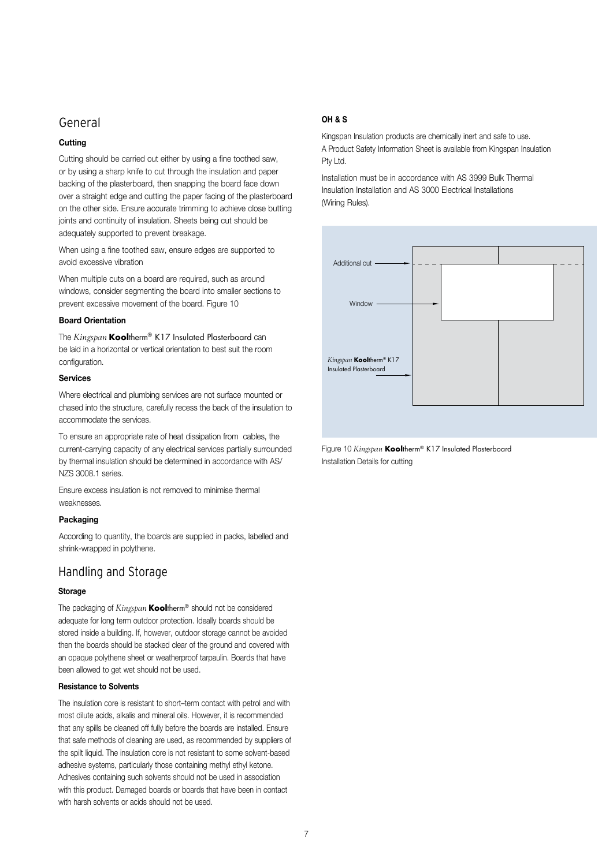#### General

#### **Cutting**

Cutting should be carried out either by using a fine toothed saw, or by using a sharp knife to cut through the insulation and paper backing of the plasterboard, then snapping the board face down over a straight edge and cutting the paper facing of the plasterboard on the other side. Ensure accurate trimming to achieve close butting joints and continuity of insulation. Sheets being cut should be adequately supported to prevent breakage.

When using a fine toothed saw, ensure edges are supported to avoid excessive vibration

When multiple cuts on a board are required, such as around windows, consider segmenting the board into smaller sections to prevent excessive movement of the board. Figure 10

#### Board Orientation

The *Kingspan* Kooltherm® K17 Insulated Plasterboard can be laid in a horizontal or vertical orientation to best suit the room configuration.

#### Services

Where electrical and plumbing services are not surface mounted or chased into the structure, carefully recess the back of the insulation to accommodate the services.

To ensure an appropriate rate of heat dissipation from cables, the current-carrying capacity of any electrical services partially surrounded by thermal insulation should be determined in accordance with AS/ NZS 3008.1 series.

Ensure excess insulation is not removed to minimise thermal weaknesses.

#### Packaging

According to quantity, the boards are supplied in packs, labelled and shrink-wrapped in polythene.

#### Handling and Storage

#### Storage

The packaging of *Kingspan* Kooltherm® should not be considered adequate for long term outdoor protection. Ideally boards should be stored inside a building. If, however, outdoor storage cannot be avoided then the boards should be stacked clear of the ground and covered with an opaque polythene sheet or weatherproof tarpaulin. Boards that have been allowed to get wet should not be used.

#### Resistance to Solvents

The insulation core is resistant to short–term contact with petrol and with most dilute acids, alkalis and mineral oils. However, it is recommended that any spills be cleaned off fully before the boards are installed. Ensure that safe methods of cleaning are used, as recommended by suppliers of the spilt liquid. The insulation core is not resistant to some solvent-based adhesive systems, particularly those containing methyl ethyl ketone. Adhesives containing such solvents should not be used in association with this product. Damaged boards or boards that have been in contact with harsh solvents or acids should not be used.

#### OH & S

Kingspan Insulation products are chemically inert and safe to use. A Product Safety Information Sheet is available from Kingspan Insulation Pty Ltd.

Installation must be in accordance with AS 3999 Bulk Thermal Insulation Installation and AS 3000 Electrical Installations (Wiring Rules).



Figure 10 *Kingspan* Kooltherm® K17 Insulated Plasterboard Installation Details for cutting